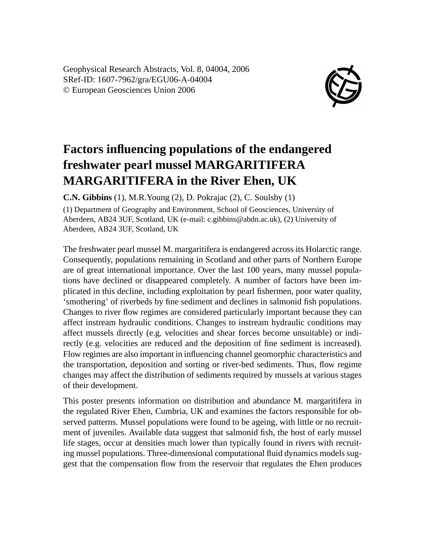Geophysical Research Abstracts, Vol. 8, 04004, 2006 SRef-ID: 1607-7962/gra/EGU06-A-04004 © European Geosciences Union 2006



## **Factors influencing populations of the endangered freshwater pearl mussel MARGARITIFERA MARGARITIFERA in the River Ehen, UK**

**C.N. Gibbins** (1), M.R.Young (2), D. Pokrajac (2), C. Soulsby (1)

(1) Department of Geography and Environment, School of Geosciences, University of Aberdeen, AB24 3UF, Scotland, UK (e-mail: c.gibbins@abdn.ac.uk), (2) University of Aberdeen, AB24 3UF, Scotland, UK

The freshwater pearl mussel M. margaritifera is endangered across its Holarctic range. Consequently, populations remaining in Scotland and other parts of Northern Europe are of great international importance. Over the last 100 years, many mussel populations have declined or disappeared completely. A number of factors have been implicated in this decline, including exploitation by pearl fishermen, poor water quality, 'smothering' of riverbeds by fine sediment and declines in salmonid fish populations. Changes to river flow regimes are considered particularly important because they can affect instream hydraulic conditions. Changes to instream hydraulic conditions may affect mussels directly (e.g. velocities and shear forces become unsuitable) or indirectly (e.g. velocities are reduced and the deposition of fine sediment is increased). Flow regimes are also important in influencing channel geomorphic characteristics and the transportation, deposition and sorting or river-bed sediments. Thus, flow regime changes may affect the distribution of sediments required by mussels at various stages of their development.

This poster presents information on distribution and abundance M. margaritifera in the regulated River Ehen, Cumbria, UK and examines the factors responsible for observed patterns. Mussel populations were found to be ageing, with little or no recruitment of juveniles. Available data suggest that salmonid fish, the host of early mussel life stages, occur at densities much lower than typically found in rivers with recruiting mussel populations. Three-dimensional computational fluid dynamics models suggest that the compensation flow from the reservoir that regulates the Ehen produces